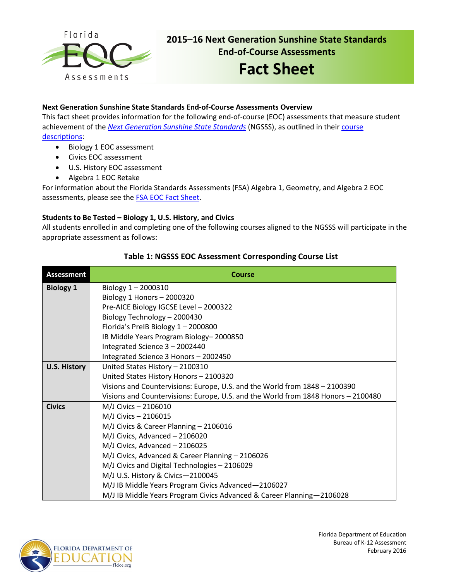

## **2015–16 Next Generation Sunshine State Standards End-of-Course Assessments**

# **Fact Sheet**

## **Next Generation Sunshine State Standards End-of-Course Assessments Overview**

This fact sheet provides information for the following end-of-course (EOC) assessments that measure student achievement of the *[Next Generation Sunshine State Standards](http://www.floridastandards.org/index.aspx)* (NGSSS), as outlined in their [course](http://www.cpalms.org/Public/search/Course#0)  [descriptions:](http://www.cpalms.org/Public/search/Course#0)

- Biology 1 EOC assessment
- Civics EOC assessment
- U.S. History EOC assessment
- Algebra 1 EOC Retake

For information about the Florida Standards Assessments (FSA) Algebra 1, Geometry, and Algebra 2 EOC assessments, please see the **FSA EOC Fact Sheet**.

## **Students to Be Tested – Biology 1, U.S. History, and Civics**

All students enrolled in and completing one of the following courses aligned to the NGSSS will participate in the appropriate assessment as follows:

## **Table 1: NGSSS EOC Assessment Corresponding Course List**

| <b>Assessment</b>   | <b>Course</b>                                                                     |  |  |  |  |  |  |  |  |
|---------------------|-----------------------------------------------------------------------------------|--|--|--|--|--|--|--|--|
| <b>Biology 1</b>    | Biology $1 - 2000310$                                                             |  |  |  |  |  |  |  |  |
|                     | Biology 1 Honors $-2000320$                                                       |  |  |  |  |  |  |  |  |
|                     | Pre-AICE Biology IGCSE Level - 2000322                                            |  |  |  |  |  |  |  |  |
|                     | Biology Technology - 2000430                                                      |  |  |  |  |  |  |  |  |
|                     | Florida's PreIB Biology 1-2000800                                                 |  |  |  |  |  |  |  |  |
|                     | IB Middle Years Program Biology-2000850                                           |  |  |  |  |  |  |  |  |
|                     | Integrated Science 3 - 2002440                                                    |  |  |  |  |  |  |  |  |
|                     | Integrated Science 3 Honors - 2002450                                             |  |  |  |  |  |  |  |  |
| <b>U.S. History</b> | United States History - 2100310                                                   |  |  |  |  |  |  |  |  |
|                     | United States History Honors - 2100320                                            |  |  |  |  |  |  |  |  |
|                     | Visions and Countervisions: Europe, U.S. and the World from 1848 - 2100390        |  |  |  |  |  |  |  |  |
|                     | Visions and Countervisions: Europe, U.S. and the World from 1848 Honors - 2100480 |  |  |  |  |  |  |  |  |
| <b>Civics</b>       | M/J Civics - 2106010                                                              |  |  |  |  |  |  |  |  |
|                     | M/J Civics - 2106015                                                              |  |  |  |  |  |  |  |  |
|                     | M/J Civics & Career Planning - 2106016                                            |  |  |  |  |  |  |  |  |
|                     | M/J Civics, Advanced - 2106020                                                    |  |  |  |  |  |  |  |  |
|                     | M/J Civics, Advanced - 2106025                                                    |  |  |  |  |  |  |  |  |
|                     | M/J Civics, Advanced & Career Planning - 2106026                                  |  |  |  |  |  |  |  |  |
|                     | M/J Civics and Digital Technologies - 2106029                                     |  |  |  |  |  |  |  |  |
|                     | M/J U.S. History & Civics-2100045                                                 |  |  |  |  |  |  |  |  |
|                     | M/J IB Middle Years Program Civics Advanced-2106027                               |  |  |  |  |  |  |  |  |
|                     | M/J IB Middle Years Program Civics Advanced & Career Planning-2106028             |  |  |  |  |  |  |  |  |

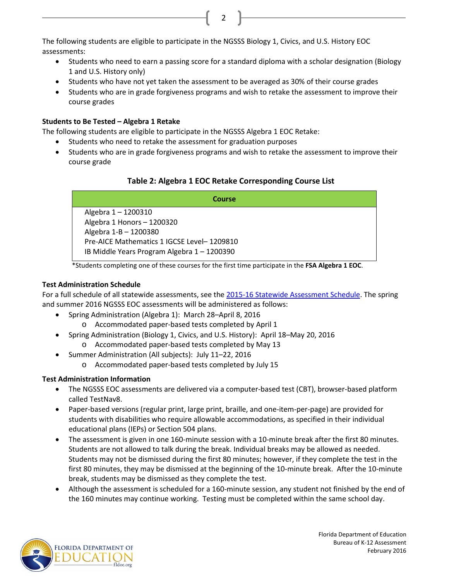The following students are eligible to participate in the NGSSS Biology 1, Civics, and U.S. History EOC assessments:

• Students who need to earn a passing score for a standard diploma with a scholar designation (Biology 1 and U.S. History only)

2

- Students who have not yet taken the assessment to be averaged as 30% of their course grades
- Students who are in grade forgiveness programs and wish to retake the assessment to improve their course grades

## **Students to Be Tested – Algebra 1 Retake**

The following students are eligible to participate in the NGSSS Algebra 1 EOC Retake:

- Students who need to retake the assessment for graduation purposes
- Students who are in grade forgiveness programs and wish to retake the assessment to improve their course grade

## **Table 2: Algebra 1 EOC Retake Corresponding Course List**

| Course                                      |
|---------------------------------------------|
| Algebra 1-1200310                           |
| Algebra 1 Honors - 1200320                  |
| Algebra 1-B - 1200380                       |
| Pre-AICE Mathematics 1 IGCSE Level-1209810  |
| IB Middle Years Program Algebra 1 - 1200390 |

\*Students completing one of these courses for the first time participate in the **FSA Algebra 1 EOC**.

## **Test Administration Schedule**

For a full schedule of all statewide assessments, see the 2015-16 Statewide [Assessment Schedule.](http://info.fldoe.org/docushare/dsweb/Get/Document-7147/dps-2014-118a.pdf) The spring and summer 2016 NGSSS EOC assessments will be administered as follows:

- Spring Administration (Algebra 1): March 28–April 8, 2016
	- o Accommodated paper-based tests completed by April 1
	- Spring Administration (Biology 1, Civics, and U.S. History): April 18–May 20, 2016
		- o Accommodated paper-based tests completed by May 13
- Summer Administration (All subjects): July 11–22, 2016
	- o Accommodated paper-based tests completed by July 15

## **Test Administration Information**

- The NGSSS EOC assessments are delivered via a computer-based test (CBT), browser-based platform called TestNav8.
- Paper-based versions (regular print, large print, braille, and one-item-per-page) are provided for students with disabilities who require allowable accommodations, as specified in their individual educational plans (IEPs) or Section 504 plans.
- The assessment is given in one 160-minute session with a 10-minute break after the first 80 minutes. Students are not allowed to talk during the break. Individual breaks may be allowed as needed. Students may not be dismissed during the first 80 minutes; however, if they complete the test in the first 80 minutes, they may be dismissed at the beginning of the 10-minute break. After the 10-minute break, students may be dismissed as they complete the test.
- Although the assessment is scheduled for a 160-minute session, any student not finished by the end of the 160 minutes may continue working. Testing must be completed within the same school day.